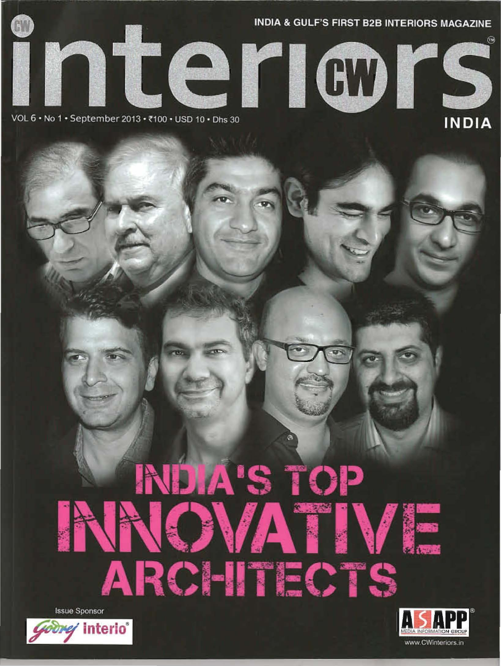

VOL 6 . No 1 . September 2013 . ₹100 . USD 10 . Dhs 30

# INDIA'S TOP ATIVE ARCHITECTS